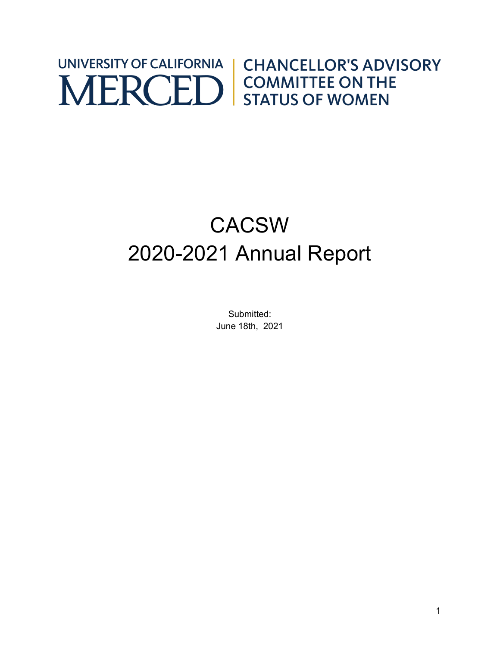### UNIVERSITY OF CALIFORNIA **CHANCELLOR'S ADVISORY** MERCED STATUS OF WOMEN

# CACSW 2020-2021 Annual Report

Submitted: June 18th, 2021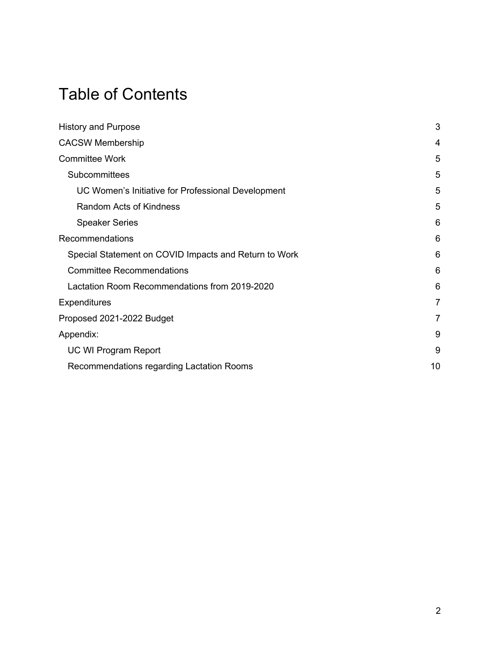### Table of Contents

| <b>History and Purpose</b>                            | 3  |
|-------------------------------------------------------|----|
| <b>CACSW Membership</b>                               | 4  |
| <b>Committee Work</b>                                 | 5  |
| Subcommittees                                         | 5  |
| UC Women's Initiative for Professional Development    | 5  |
| <b>Random Acts of Kindness</b>                        | 5  |
| <b>Speaker Series</b>                                 | 6  |
| Recommendations                                       | 6  |
| Special Statement on COVID Impacts and Return to Work | 6  |
| <b>Committee Recommendations</b>                      | 6  |
| Lactation Room Recommendations from 2019-2020         | 6  |
| Expenditures                                          | 7  |
| Proposed 2021-2022 Budget                             | 7  |
| Appendix:                                             | 9  |
| <b>UC WI Program Report</b>                           | 9  |
| Recommendations regarding Lactation Rooms             | 10 |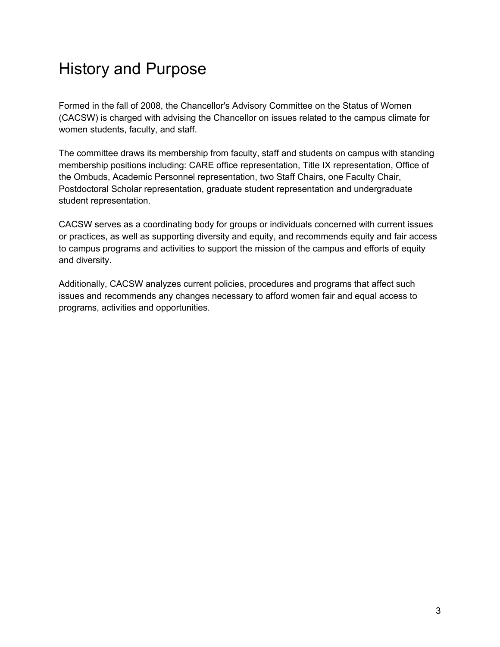### History and Purpose

Formed in the fall of 2008, the Chancellor's Advisory Committee on the Status of Women (CACSW) is charged with advising the Chancellor on issues related to the campus climate for women students, faculty, and staff.

The committee draws its membership from faculty, staff and students on campus with standing membership positions including: CARE office representation, Title IX representation, Office of the Ombuds, Academic Personnel representation, two Staff Chairs, one Faculty Chair, Postdoctoral Scholar representation, graduate student representation and undergraduate student representation.

CACSW serves as a coordinating body for groups or individuals concerned with current issues or practices, as well as supporting diversity and equity, and recommends equity and fair access to campus programs and activities to support the mission of the campus and efforts of equity and diversity.

Additionally, CACSW analyzes current policies, procedures and programs that affect such issues and recommends any changes necessary to afford women fair and equal access to programs, activities and opportunities.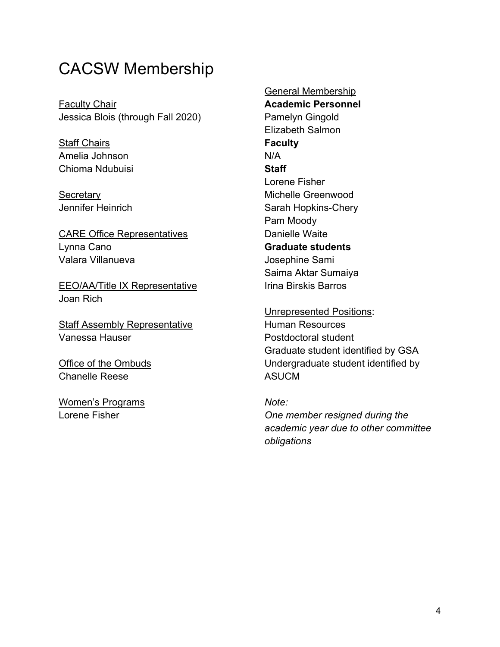#### CACSW Membership

Faculty Chair Jessica Blois (through Fall 2020)

**Staff Chairs** Amelia Johnson Chioma Ndubuisi

**Secretary** Jennifer Heinrich

CARE Office Representatives Lynna Cano Valara Villanueva

EEO/AA/Title IX Representative Joan Rich

Staff Assembly Representative Vanessa Hauser

Office of the Ombuds Chanelle Reese

Women's Programs Lorene Fisher

General Membership **Academic Personnel**  Pamelyn Gingold Elizabeth Salmon **Faculty** N/A **Staff** Lorene Fisher Michelle Greenwood Sarah Hopkins-Chery Pam Moody Danielle Waite **Graduate students** Josephine Sami Saima Aktar Sumaiya Irina Birskis Barros

Unrepresented Positions: Human Resources Postdoctoral student Graduate student identified by GSA Undergraduate student identified by ASUCM

*Note: One member resigned during the academic year due to other committee obligations*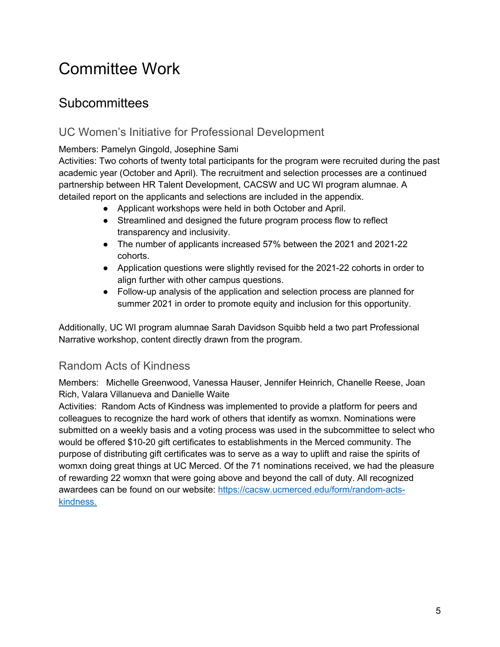# Committee Work

#### **Subcommittees**

#### UC Women's Initiative for Professional Development

Members: Pamelyn Gingold, Josephine Sami

Activities: Two cohorts of twenty total participants for the program were recruited during the past academic year (October and April). The recruitment and selection processes are a continued partnership between HR Talent Development, CACSW and UC WI program alumnae. A detailed report on the applicants and selections are included in the appendix.

- Applicant workshops were held in both October and April.
- Streamlined and designed the future program process flow to reflect transparency and inclusivity.
- The number of applicants increased 57% between the 2021 and 2021-22 cohorts.
- Application questions were slightly revised for the 2021-22 cohorts in order to align further with other campus questions.
- Follow-up analysis of the application and selection process are planned for summer 2021 in order to promote equity and inclusion for this opportunity.

Additionally, UC WI program alumnae Sarah Davidson Squibb held a two part Professional Narrative workshop, content directly drawn from the program.

#### Random Acts of Kindness

Members: Michelle Greenwood, Vanessa Hauser, Jennifer Heinrich, Chanelle Reese, Joan Rich, Valara Villanueva and Danielle Waite

Activities: Random Acts of Kindness was implemented to provide a platform for peers and colleagues to recognize the hard work of others that identify as womxn. Nominations were submitted on a weekly basis and a voting process was used in the subcommittee to select who would be offered \$10-20 gift certificates to establishments in the Merced community. The purpose of distributing gift certificates was to serve as a way to uplift and raise the spirits of womxn doing great things at UC Merced. Of the 71 nominations received, we had the pleasure of rewarding 22 womxn that were going above and beyond the call of duty. All recognized awardees can be found on our website: https://cacsw.ucmerced.edu/form/random-actskindness.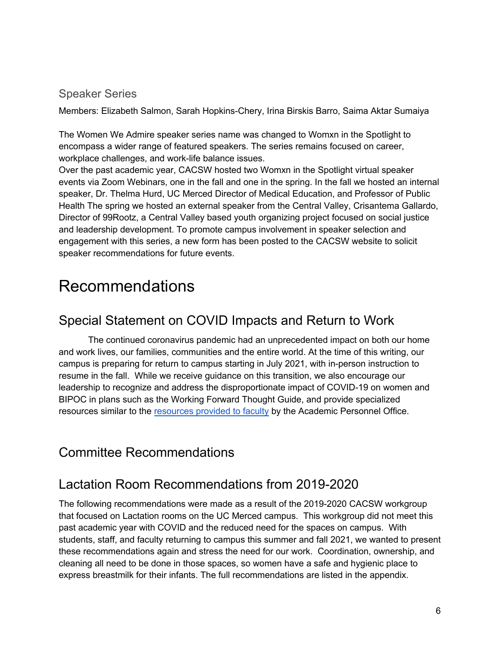#### Speaker Series

Members: Elizabeth Salmon, Sarah Hopkins-Chery, Irina Birskis Barro, Saima Aktar Sumaiya

The Women We Admire speaker series name was changed to Womxn in the Spotlight to encompass a wider range of featured speakers. The series remains focused on career, workplace challenges, and work-life balance issues.

Over the past academic year, CACSW hosted two Womxn in the Spotlight virtual speaker events via Zoom Webinars, one in the fall and one in the spring. In the fall we hosted an internal speaker, Dr. Thelma Hurd, UC Merced Director of Medical Education, and Professor of Public Health The spring we hosted an external speaker from the Central Valley, Crisantema Gallardo, Director of 99Rootz, a Central Valley based youth organizing project focused on social justice and leadership development. To promote campus involvement in speaker selection and engagement with this series, a new form has been posted to the CACSW website to solicit speaker recommendations for future events.

### Recommendations

#### Special Statement on COVID Impacts and Return to Work

The continued coronavirus pandemic had an unprecedented impact on both our home and work lives, our families, communities and the entire world. At the time of this writing, our campus is preparing for return to campus starting in July 2021, with in-person instruction to resume in the fall. While we receive guidance on this transition, we also encourage our leadership to recognize and address the disproportionate impact of COVID-19 on women and BIPOC in plans such as the Working Forward Thought Guide, and provide specialized resources similar to the resources provided to faculty by the Academic Personnel Office.

#### Committee Recommendations

#### Lactation Room Recommendations from 2019-2020

The following recommendations were made as a result of the 2019-2020 CACSW workgroup that focused on Lactation rooms on the UC Merced campus. This workgroup did not meet this past academic year with COVID and the reduced need for the spaces on campus. With students, staff, and faculty returning to campus this summer and fall 2021, we wanted to present these recommendations again and stress the need for our work. Coordination, ownership, and cleaning all need to be done in those spaces, so women have a safe and hygienic place to express breastmilk for their infants. The full recommendations are listed in the appendix.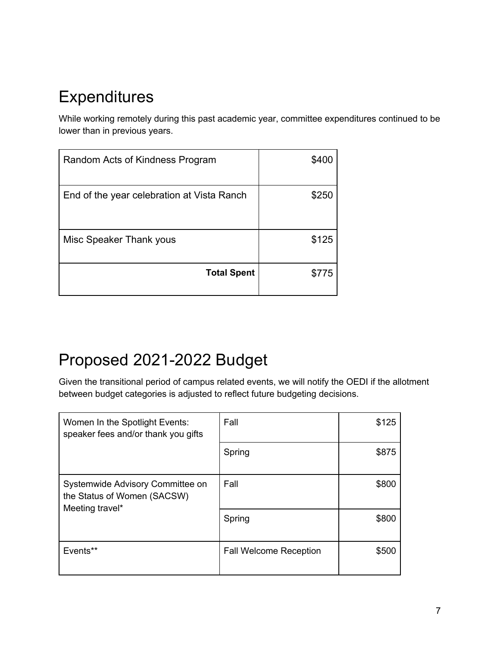### **Expenditures**

While working remotely during this past academic year, committee expenditures continued to be lower than in previous years.

| Random Acts of Kindness Program            | \$400 |
|--------------------------------------------|-------|
| End of the year celebration at Vista Ranch | \$250 |
| Misc Speaker Thank yous                    | \$125 |
| <b>Total Spent</b>                         | \$775 |

# Proposed 2021-2022 Budget

Given the transitional period of campus related events, we will notify the OEDI if the allotment between budget categories is adjusted to reflect future budgeting decisions.

| Women In the Spotlight Events:<br>speaker fees and/or thank you gifts              | Fall                          | \$125 |
|------------------------------------------------------------------------------------|-------------------------------|-------|
|                                                                                    | Spring                        | \$875 |
| Systemwide Advisory Committee on<br>the Status of Women (SACSW)<br>Meeting travel* | Fall                          | \$800 |
|                                                                                    | Spring                        | \$800 |
| Events**                                                                           | <b>Fall Welcome Reception</b> | \$500 |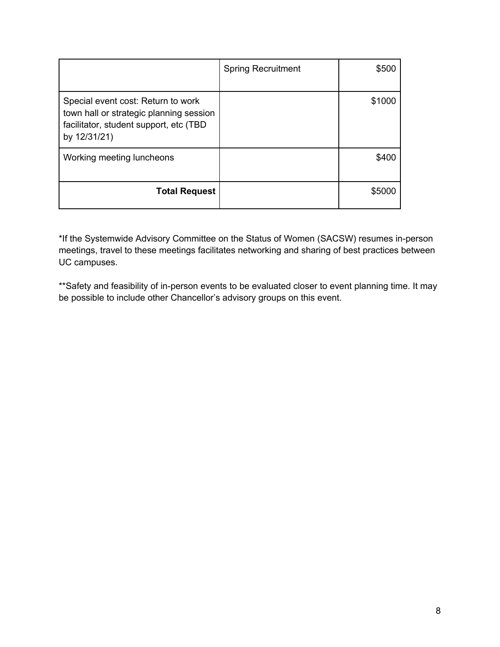|                                                                                                                                         | <b>Spring Recruitment</b> | \$500  |
|-----------------------------------------------------------------------------------------------------------------------------------------|---------------------------|--------|
| Special event cost: Return to work<br>town hall or strategic planning session<br>facilitator, student support, etc (TBD<br>by 12/31/21) |                           | \$1000 |
| Working meeting luncheons                                                                                                               |                           | \$400  |
| <b>Total Request</b>                                                                                                                    |                           | \$5000 |

\*If the Systemwide Advisory Committee on the Status of Women (SACSW) resumes in-person meetings, travel to these meetings facilitates networking and sharing of best practices between UC campuses.

\*\*Safety and feasibility of in-person events to be evaluated closer to event planning time. It may be possible to include other Chancellor's advisory groups on this event.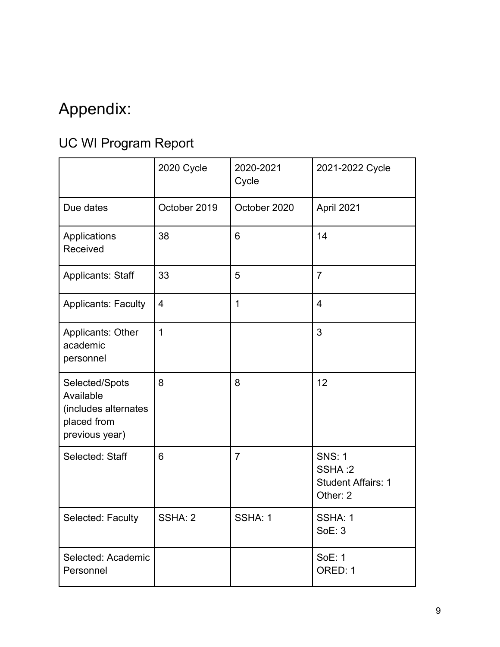# Appendix:

### UC WI Program Report

|                                                                                      | 2020 Cycle     | 2020-2021<br>Cycle | 2021-2022 Cycle                                                  |
|--------------------------------------------------------------------------------------|----------------|--------------------|------------------------------------------------------------------|
| Due dates                                                                            | October 2019   | October 2020       | April 2021                                                       |
| Applications<br>Received                                                             | 38             | 6                  | 14                                                               |
| <b>Applicants: Staff</b>                                                             | 33             | 5                  | $\overline{7}$                                                   |
| <b>Applicants: Faculty</b>                                                           | $\overline{4}$ | $\mathbf 1$        | $\overline{4}$                                                   |
| Applicants: Other<br>academic<br>personnel                                           | $\mathbf{1}$   |                    | 3                                                                |
| Selected/Spots<br>Available<br>(includes alternates<br>placed from<br>previous year) | 8              | 8                  | 12                                                               |
| Selected: Staff                                                                      | 6              | $\overline{7}$     | <b>SNS: 1</b><br>SSHA:2<br><b>Student Affairs: 1</b><br>Other: 2 |
| Selected: Faculty                                                                    | SSHA: 2        | SSHA: 1            | SSHA: 1<br><b>SoE: 3</b>                                         |
| Selected: Academic<br>Personnel                                                      |                |                    | <b>SoE: 1</b><br>ORED: 1                                         |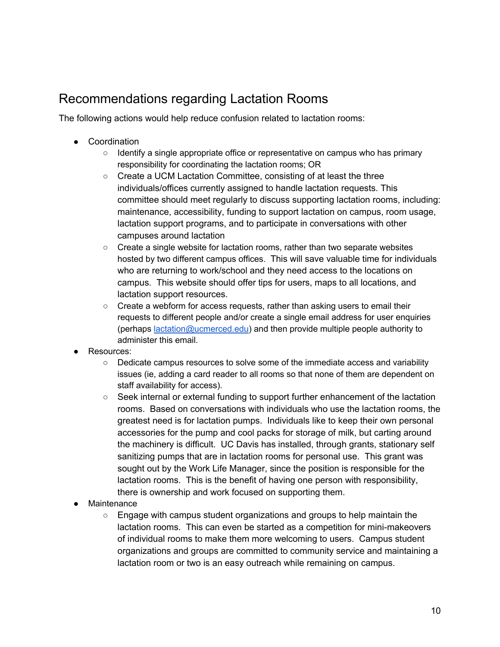#### Recommendations regarding Lactation Rooms

The following actions would help reduce confusion related to lactation rooms:

- Coordination
	- Identify a single appropriate office or representative on campus who has primary responsibility for coordinating the lactation rooms; OR
	- Create a UCM Lactation Committee, consisting of at least the three individuals/offices currently assigned to handle lactation requests. This committee should meet regularly to discuss supporting lactation rooms, including: maintenance, accessibility, funding to support lactation on campus, room usage, lactation support programs, and to participate in conversations with other campuses around lactation
	- Create a single website for lactation rooms, rather than two separate websites hosted by two different campus offices. This will save valuable time for individuals who are returning to work/school and they need access to the locations on campus. This website should offer tips for users, maps to all locations, and lactation support resources.
	- Create a webform for access requests, rather than asking users to email their requests to different people and/or create a single email address for user enquiries (perhaps lactation@ucmerced.edu) and then provide multiple people authority to administer this email.
- Resources:
	- Dedicate campus resources to solve some of the immediate access and variability issues (ie, adding a card reader to all rooms so that none of them are dependent on staff availability for access).
	- Seek internal or external funding to support further enhancement of the lactation rooms. Based on conversations with individuals who use the lactation rooms, the greatest need is for lactation pumps. Individuals like to keep their own personal accessories for the pump and cool packs for storage of milk, but carting around the machinery is difficult. UC Davis has installed, through grants, stationary self sanitizing pumps that are in lactation rooms for personal use. This grant was sought out by the Work Life Manager, since the position is responsible for the lactation rooms. This is the benefit of having one person with responsibility, there is ownership and work focused on supporting them.
- Maintenance
	- $\circ$  Engage with campus student organizations and groups to help maintain the lactation rooms. This can even be started as a competition for mini-makeovers of individual rooms to make them more welcoming to users. Campus student organizations and groups are committed to community service and maintaining a lactation room or two is an easy outreach while remaining on campus.